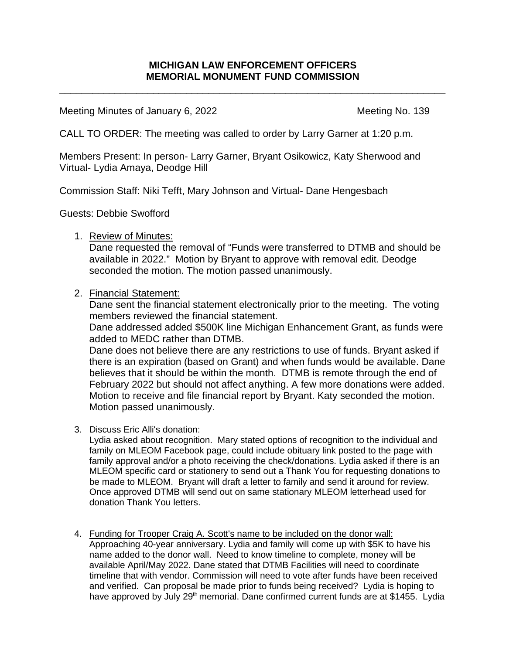## **MICHIGAN LAW ENFORCEMENT OFFICERS MEMORIAL MONUMENT FUND COMMISSION**

\_\_\_\_\_\_\_\_\_\_\_\_\_\_\_\_\_\_\_\_\_\_\_\_\_\_\_\_\_\_\_\_\_\_\_\_\_\_\_\_\_\_\_\_\_\_\_\_\_\_\_\_\_\_\_\_\_\_\_\_\_\_\_\_\_\_\_\_\_\_

Meeting Minutes of January 6, 2022 Meeting No. 139

CALL TO ORDER: The meeting was called to order by Larry Garner at 1:20 p.m.

Members Present: In person- Larry Garner, Bryant Osikowicz, Katy Sherwood and Virtual- Lydia Amaya, Deodge Hill

Commission Staff: Niki Tefft, Mary Johnson and Virtual- Dane Hengesbach

Guests: Debbie Swofford

## 1. Review of Minutes:

Dane requested the removal of "Funds were transferred to DTMB and should be available in 2022." Motion by Bryant to approve with removal edit. Deodge seconded the motion. The motion passed unanimously.

## 2. Financial Statement:

Dane sent the financial statement electronically prior to the meeting. The voting members reviewed the financial statement.

Dane addressed added \$500K line Michigan Enhancement Grant, as funds were added to MEDC rather than DTMB.

Dane does not believe there are any restrictions to use of funds. Bryant asked if there is an expiration (based on Grant) and when funds would be available. Dane believes that it should be within the month. DTMB is remote through the end of February 2022 but should not affect anything. A few more donations were added. Motion to receive and file financial report by Bryant. Katy seconded the motion. Motion passed unanimously.

3. Discuss Eric Alli's donation:

Lydia asked about recognition. Mary stated options of recognition to the individual and family on MLEOM Facebook page, could include obituary link posted to the page with family approval and/or a photo receiving the check/donations. Lydia asked if there is an MLEOM specific card or stationery to send out a Thank You for requesting donations to be made to MLEOM. Bryant will draft a letter to family and send it around for review. Once approved DTMB will send out on same stationary MLEOM letterhead used for donation Thank You letters.

4. Funding for Trooper Craig A. Scott's name to be included on the donor wall:

Approaching 40-year anniversary. Lydia and family will come up with \$5K to have his name added to the donor wall. Need to know timeline to complete, money will be available April/May 2022. Dane stated that DTMB Facilities will need to coordinate timeline that with vendor. Commission will need to vote after funds have been received and verified. Can proposal be made prior to funds being received? Lydia is hoping to have approved by July 29<sup>th</sup> memorial. Dane confirmed current funds are at \$1455. Lydia